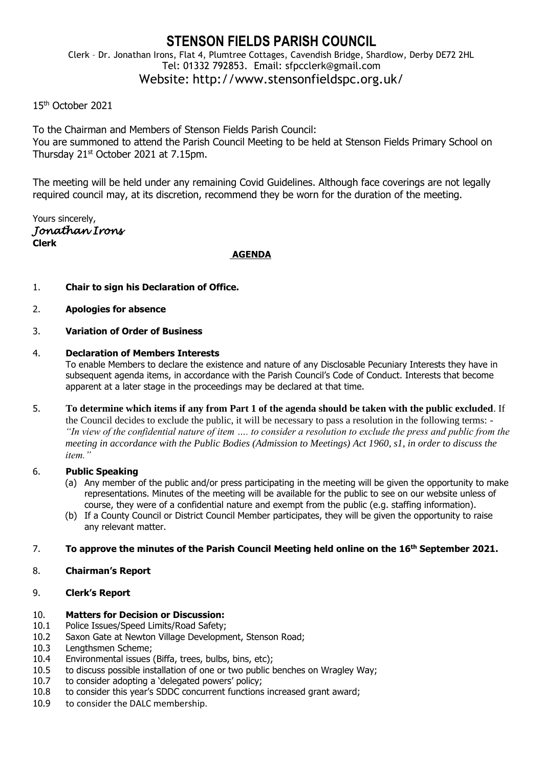# **STENSON FIELDS PARISH COUNCIL**

Clerk – Dr. Jonathan Irons, Flat 4, Plumtree Cottages, Cavendish Bridge, Shardlow, Derby DE72 2HL Tel: 01332 792853. Email: sfpcclerk@gmail.com Website: http://www.stensonfieldspc.org.uk/

# 15th October 2021

To the Chairman and Members of Stenson Fields Parish Council: You are summoned to attend the Parish Council Meeting to be held at Stenson Fields Primary School on Thursday 21<sup>st</sup> October 2021 at 7.15pm.

The meeting will be held under any remaining Covid Guidelines. Although face coverings are not legally required council may, at its discretion, recommend they be worn for the duration of the meeting.

Yours sincerely, *Jonathan Irons*  **Clerk**

# **AGENDA**

- 1. **Chair to sign his Declaration of Office.**
- 2. **Apologies for absence**
- 3. **Variation of Order of Business**

#### 4. **Declaration of Members Interests**

To enable Members to declare the existence and nature of any Disclosable Pecuniary Interests they have in subsequent agenda items, in accordance with the Parish Council's Code of Conduct. Interests that become apparent at a later stage in the proceedings may be declared at that time.

5. **To determine which items if any from Part 1 of the agenda should be taken with the public excluded**. If the Council decides to exclude the public, it will be necessary to pass a resolution in the following terms: - *"In view of the confidential nature of item …. to consider a resolution to exclude the press and public from the meeting in accordance with the Public Bodies (Admission to Meetings) Act 1960, s1, in order to discuss the item."* 

# 6. **Public Speaking**

- (a) Any member of the public and/or press participating in the meeting will be given the opportunity to make representations. Minutes of the meeting will be available for the public to see on our website unless of course, they were of a confidential nature and exempt from the public (e.g. staffing information).
- (b) If a County Council or District Council Member participates, they will be given the opportunity to raise any relevant matter.

#### 7. **To approve the minutes of the Parish Council Meeting held online on the 16th September 2021.**

8. **Chairman's Report**

# 9. **Clerk's Report**

#### 10. **Matters for Decision or Discussion:**

- 10.1 Police Issues/Speed Limits/Road Safety;
- 10.2 Saxon Gate at Newton Village Development, Stenson Road;
- 10.3 Lengthsmen Scheme;
- 10.4 Environmental issues (Biffa, trees, bulbs, bins, etc);
- 10.5 to discuss possible installation of one or two public benches on Wragley Way;
- 10.7 to consider adopting a 'delegated powers' policy;
- 10.8 to consider this year's SDDC concurrent functions increased grant award;
- 10.9 to consider the DALC membership.